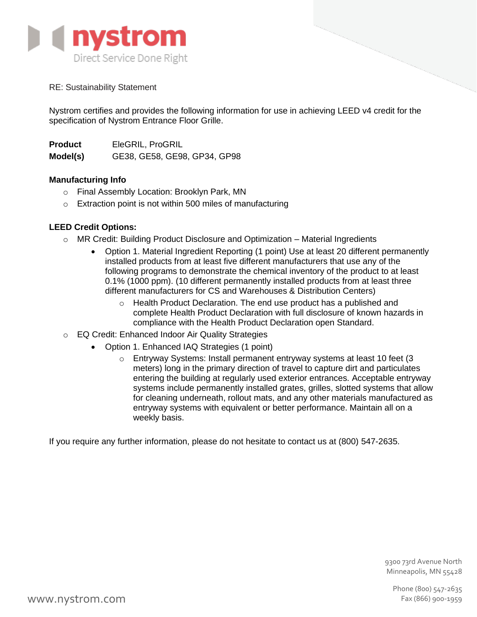

RE: Sustainability Statement

Nystrom certifies and provides the following information for use in achieving LEED v4 credit for the specification of Nystrom Entrance Floor Grille.

**Product** EleGRIL, ProGRIL **Model(s)** GE38, GE58, GE98, GP34, GP98

# **Manufacturing Info**

- o Final Assembly Location: Brooklyn Park, MN
- o Extraction point is not within 500 miles of manufacturing

# **LEED Credit Options:**

- $\circ$  MR Credit: Building Product Disclosure and Optimization Material Ingredients
	- Option 1. Material Ingredient Reporting (1 point) Use at least 20 different permanently installed products from at least five different manufacturers that use any of the following programs to demonstrate the chemical inventory of the product to at least 0.1% (1000 ppm). (10 different permanently installed products from at least three different manufacturers for CS and Warehouses & Distribution Centers)
		- $\circ$  Health Product Declaration. The end use product has a published and complete Health Product Declaration with full disclosure of known hazards in compliance with the Health Product Declaration open Standard.
- o EQ Credit: Enhanced Indoor Air Quality Strategies
	- Option 1. Enhanced IAQ Strategies (1 point)
		- $\circ$  Entryway Systems: Install permanent entryway systems at least 10 feet (3) meters) long in the primary direction of travel to capture dirt and particulates entering the building at regularly used exterior entrances. Acceptable entryway systems include permanently installed grates, grilles, slotted systems that allow for cleaning underneath, rollout mats, and any other materials manufactured as entryway systems with equivalent or better performance. Maintain all on a weekly basis.

If you require any further information, please do not hesitate to contact us at (800) 547-2635.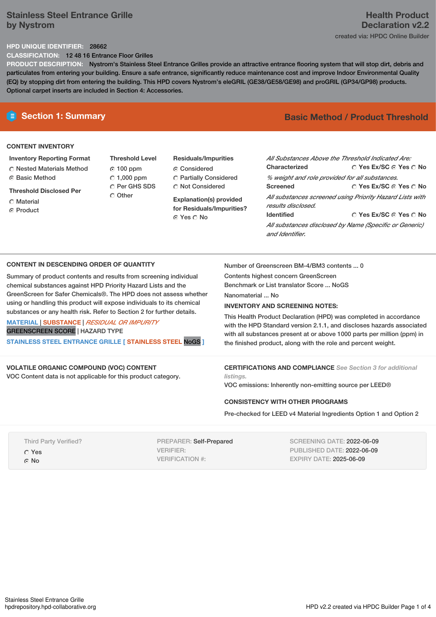# **Stainless Steel Entrance Grille by Nystrom**

# **Health Product Declaration v2.2** created via: HPDC Online Builder

## **HPD UNIQUE IDENTIFIER:** 28662

**CLASSIFICATION:** 12 48 16 Entrance Floor Grilles

**PRODUCT DESCRIPTION:** Nystrom's Stainless Steel Entrance Grilles provide an attractive entrance flooring system that will stop dirt, debris and particulates from entering your building. Ensure a safe entrance, significantly reduce maintenance cost and improve Indoor Environmental Quality (EQ) by stopping dirt from entering the building. This HPD covers Nystrom's eleGRIL (GE38/GE58/GE98) and proGRIL (GP34/GP98) products. Optional carpet inserts are included in Section 4: Accessories.

# **CONTENT INVENTORY**

- **Inventory Reporting Format** Nested Materials Method **C** Basic Method
- **Threshold Disclosed Per**
- **C** Material
- ⊙ Product

**Threshold Level** 100 ppm  $\degree$  1,000 ppm O Per GHS SDS Other

# **Residuals/Impurities Considered** Partially Considered  $\bigcirc$  Not Considered

**Explanation(s) provided for Residuals/Impurities?** Yes No

# **E** Section 1: Summary **Basic** Method **/** Product Threshold

| Characterized                                                                  | All Substances Above the Threshold Indicated Are:<br>∩ Yes Ex/SC ∩ Yes ∩ No |  |  |  |
|--------------------------------------------------------------------------------|-----------------------------------------------------------------------------|--|--|--|
| % weight and role provided for all substances.                                 |                                                                             |  |  |  |
| <b>Screened</b>                                                                | ∩ Yes Ex/SC ∩ Yes ∩ No                                                      |  |  |  |
| All substances screened using Priority Hazard Lists with<br>results disclosed. |                                                                             |  |  |  |
| <b>Identified</b>                                                              | ∩ Yes Ex/SC ∩ Yes ∩ No                                                      |  |  |  |
| and Identifier.                                                                | All substances disclosed by Name (Specific or Generic)                      |  |  |  |

### **CONTENT IN DESCENDING ORDER OF QUANTITY**

Summary of product contents and results from screening individual chemical substances against HPD Priority Hazard Lists and the GreenScreen for Safer Chemicals®. The HPD does not assess whether using or handling this product will expose individuals to its chemical substances or any health risk. Refer to Section 2 for further details.

**MATERIAL** | **SUBSTANCE** | *RESIDUAL OR IMPURITY* GREENSCREEN SCORE | HAZARD TYPE **STAINLESS STEEL ENTRANCE GRILLE [ STAINLESS STEEL** NoGS **]**

# **VOLATILE ORGANIC COMPOUND (VOC) CONTENT**

VOC Content data is not applicable for this product category.

Number of Greenscreen BM-4/BM3 contents ... 0

Contents highest concern GreenScreen Benchmark or List translator Score ... NoGS

Nanomaterial ... No

### **INVENTORY AND SCREENING NOTES:**

This Health Product Declaration (HPD) was completed in accordance with the HPD Standard version 2.1.1, and discloses hazards associated with all substances present at or above 1000 parts per million (ppm) in the finished product, along with the role and percent weight.

**CERTIFICATIONS AND COMPLIANCE** *See Section 3 for additional listings.*

VOC emissions: Inherently non-emitting source per LEED®

### **CONSISTENCY WITH OTHER PROGRAMS**

Pre-checked for LEED v4 Material Ingredients Option 1 and Option 2

Third Party Verified? Yes ⊙ No

PREPARER: Self-Prepared VERIFIER: VERIFICATION #:

SCREENING DATE: 2022-06-09 PUBLISHED DATE: 2022-06-09 EXPIRY DATE: 2025-06-09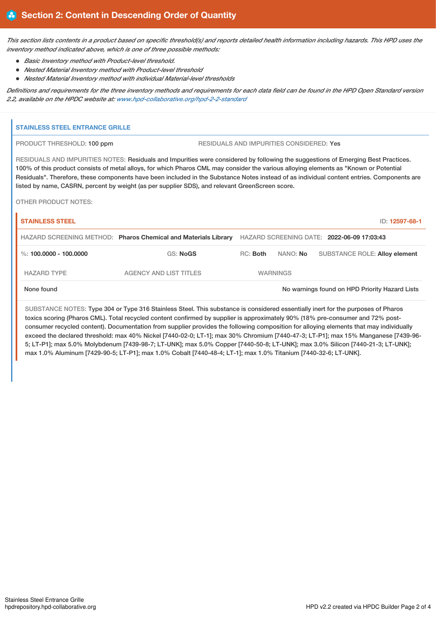This section lists contents in a product based on specific threshold(s) and reports detailed health information including hazards. This HPD uses the *inventory method indicated above, which is one of three possible methods:*

*Basic Inventory method with Product-level threshold.*

 $\mathbf{u}$ 

- *Nested Material Inventory method with Product-level threshold*
- *Nested Material Inventory method with individual Material-level thresholds*

Definitions and requirements for the three inventory methods and requirements for each data field can be found in the HPD Open Standard version *2.2, available on the HPDC website at: [www.hpd-collaborative.org/hpd-2-2-standard](https://www.hpd-collaborative.org/hpd-2-2-standard)*

| RESIDUALS AND IMPURITIES CONSIDERED: Yes<br>RESIDUALS AND IMPURITIES NOTES: Residuals and Impurities were considered by following the suggestions of Emerging Best Practices. |          |                                                                                                                    |                                                                                                                                                                                                                                                                                                           |
|-------------------------------------------------------------------------------------------------------------------------------------------------------------------------------|----------|--------------------------------------------------------------------------------------------------------------------|-----------------------------------------------------------------------------------------------------------------------------------------------------------------------------------------------------------------------------------------------------------------------------------------------------------|
|                                                                                                                                                                               |          |                                                                                                                    |                                                                                                                                                                                                                                                                                                           |
| 100% of this product consists of metal alloys, for which Pharos CML may consider the various alloying elements as "Known or Potential                                         |          |                                                                                                                    |                                                                                                                                                                                                                                                                                                           |
|                                                                                                                                                                               |          |                                                                                                                    |                                                                                                                                                                                                                                                                                                           |
|                                                                                                                                                                               |          |                                                                                                                    | ID: 12597-68-1                                                                                                                                                                                                                                                                                            |
|                                                                                                                                                                               |          |                                                                                                                    |                                                                                                                                                                                                                                                                                                           |
| <b>GS: NoGS</b>                                                                                                                                                               | NANO: No |                                                                                                                    | <b>SUBSTANCE ROLE: Alloy element</b>                                                                                                                                                                                                                                                                      |
| <b>AGENCY AND LIST TITLES</b>                                                                                                                                                 |          |                                                                                                                    |                                                                                                                                                                                                                                                                                                           |
|                                                                                                                                                                               |          |                                                                                                                    |                                                                                                                                                                                                                                                                                                           |
|                                                                                                                                                                               | RC: Both | listed by name, CASRN, percent by weight (as per supplier SDS), and relevant GreenScreen score.<br><b>WARNINGS</b> | Residuals". Therefore, these components have been included in the Substance Notes instead of as individual content entries. Components are<br>HAZARD SCREENING METHOD: Pharos Chemical and Materials Library HAZARD SCREENING DATE: 2022-06-09 17:03:43<br>No warnings found on HPD Priority Hazard Lists |

exceed the declared threshold: max 40% Nickel [7440-02-0; LT-1]; max 30% Chromium [7440-47-3; LT-P1]; max 15% Manganese [7439-96- 5; LT-P1]; max 5.0% Molybdenum [7439-98-7; LT-UNK]; max 5.0% Copper [7440-50-8; LT-UNK]; max 3.0% Silicon [7440-21-3; LT-UNK]; max 1.0% Aluminum [7429-90-5; LT-P1]; max 1.0% Cobalt [7440-48-4; LT-1]; max 1.0% Titanium [7440-32-6; LT-UNK].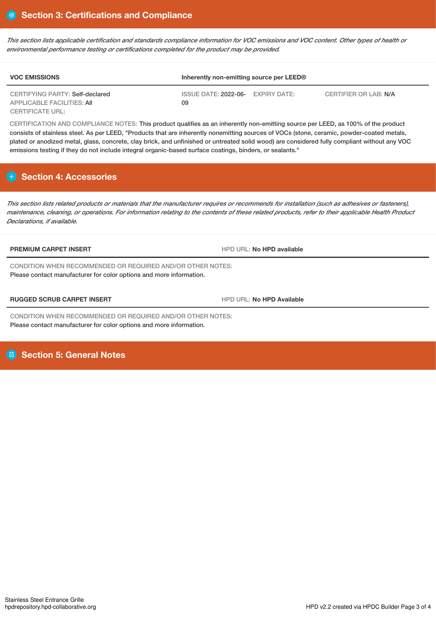This section lists applicable certification and standards compliance information for VOC emissions and VOC content. Other types of health or *environmental performance testing or certifications completed for the product may be provided.*

| <b>VOC EMISSIONS</b>                                          | Inherently non-emitting source per LEED® |                       |  |  |
|---------------------------------------------------------------|------------------------------------------|-----------------------|--|--|
| CERTIFYING PARTY: Self-declared<br>APPLICABLE FACILITIES: AII | ISSUE DATE: 2022-06- EXPIRY DATE:<br>09  | CERTIFIER OR LAB: N/A |  |  |
| <b>CERTIFICATE URL:</b>                                       |                                          |                       |  |  |

CERTIFICATION AND COMPLIANCE NOTES: This product qualifies as an inherently non-emitting source per LEED, as 100% of the product consists of stainless steel. As per LEED, "Products that are inherently nonemitting sources of VOCs (stone, ceramic, powder-coated metals, plated or anodized metal, glass, concrete, clay brick, and unfinished or untreated solid wood) are considered fully compliant without any VOC emissions testing if they do not include integral organic-based surface coatings, binders, or sealants."

# **Section 4: Accessories**

This section lists related products or materials that the manufacturer requires or recommends for installation (such as adhesives or fasteners), maintenance, cleaning, or operations. For information relating to the contents of these related products, refer to their applicable Health Product *Declarations, if available.*

**PREMIUM CARPET INSERT EXECUTE A RESIDENCE IN A REPORT OF HPD URL: No HPD available** 

CONDITION WHEN RECOMMENDED OR REQUIRED AND/OR OTHER NOTES: Please contact manufacturer for color options and more information.

**RUGGED SCRUB CARPET INSERT** HPD URL: **No HPD Available**

CONDITION WHEN RECOMMENDED OR REQUIRED AND/OR OTHER NOTES: Please contact manufacturer for color options and more information.

# **Section 5: General Notes**